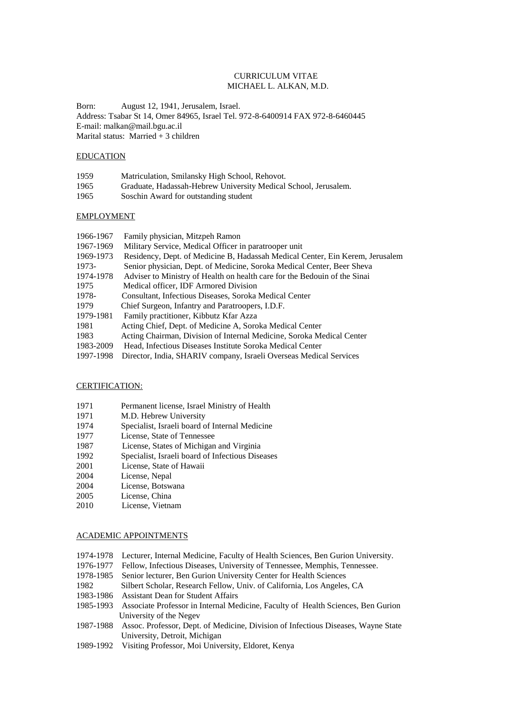## CURRICULUM VITAE MICHAEL L. ALKAN, M.D.

Born: August 12, 1941, Jerusalem, Israel. Address: Tsabar St 14, Omer 84965, Israel Tel. 972-8-6400914 FAX 972-8-6460445 E-mail: malkan@mail.bgu.ac.il Marital status: Married + 3 children

### EDUCATION

| 1959 | Matriculation, Smilansky High School, Rehovot.                  |
|------|-----------------------------------------------------------------|
| 1965 | Graduate, Hadassah-Hebrew University Medical School, Jerusalem. |
| 1965 | Soschin Award for outstanding student                           |

### EMPLOYMENT

| 1966-1967 | Family physician, Mitzpeh Ramon                                               |
|-----------|-------------------------------------------------------------------------------|
| 1967-1969 | Military Service, Medical Officer in paratrooper unit                         |
| 1969-1973 | Residency, Dept. of Medicine B, Hadassah Medical Center, Ein Kerem, Jerusalem |
| 1973-     | Senior physician, Dept. of Medicine, Soroka Medical Center, Beer Sheva        |
| 1974-1978 | Adviser to Ministry of Health on health care for the Bedouin of the Sinai     |
| 1975      | Medical officer, IDF Armored Division                                         |
| 1978-     | Consultant, Infectious Diseases, Soroka Medical Center                        |
| 1979      | Chief Surgeon, Infantry and Paratroopers, I.D.F.                              |
| 1979-1981 | Family practitioner, Kibbutz Kfar Azza                                        |
| 1981      | Acting Chief, Dept. of Medicine A, Soroka Medical Center                      |
| 1983      | Acting Chairman, Division of Internal Medicine, Soroka Medical Center         |
| 1983-2009 | Head, Infectious Diseases Institute Soroka Medical Center                     |
| 1997-1998 | Director, India, SHARIV company, Israeli Overseas Medical Services            |

### CERTIFICATION:

- 1971 Permanent license, Israel Ministry of Health
- 1971 M.D. Hebrew University<br>1974 Specialist, Israeli board o
- Specialist, Israeli board of Internal Medicine
- 1977 License, State of Tennessee
- 1987 License, States of Michigan and Virginia
- 1992 Specialist, Israeli board of Infectious Diseases
- 2001 License, State of Hawaii
- 2004 License, Nepal
- 2004 License, Botswana
- 2005 License, China
- 2010 License, Vietnam

### ACADEMIC APPOINTMENTS

- 1974-1978 Lecturer, Internal Medicine, Faculty of Health Sciences, Ben Gurion University.
- 1976-1977 Fellow, Infectious Diseases, University of Tennessee, Memphis, Tennessee.
- 1978-1985 Senior lecturer, Ben Gurion University Center for Health Sciences
- 1982 Silbert Scholar, Research Fellow, Univ. of California, Los Angeles, CA
- 1983-1986 Assistant Dean for Student Affairs
- 1985-1993 Associate Professor in Internal Medicine, Faculty of Health Sciences, Ben Gurion University of the Negev
- 1987-1988 Assoc. Professor, Dept. of Medicine, Division of Infectious Diseases, Wayne State University, Detroit, Michigan
- 1989-1992 Visiting Professor, Moi University, Eldoret, Kenya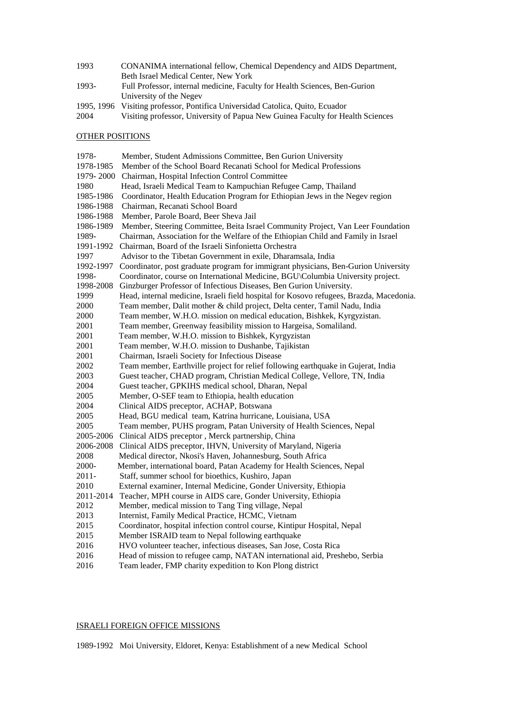| 1993  | CONANIMA international fellow, Chemical Dependency and AIDS Department,    |
|-------|----------------------------------------------------------------------------|
|       | Beth Israel Medical Center, New York                                       |
| 1993- | Full Professor, internal medicine, Faculty for Health Sciences, Ben-Gurion |
|       | University of the Negev                                                    |

- 1995, 1996 Visiting professor, Pontifica Universidad Catolica, Quito, Ecuador
- 2004 Visiting professor, University of Papua New Guinea Faculty for Health Sciences

## OTHER POSITIONS

| 1978-     | Member, Student Admissions Committee, Ben Gurion University                             |
|-----------|-----------------------------------------------------------------------------------------|
| 1978-1985 | Member of the School Board Recanati School for Medical Professions                      |
| 1979-2000 | Chairman, Hospital Infection Control Committee                                          |
| 1980      | Head, Israeli Medical Team to Kampuchian Refugee Camp, Thailand                         |
| 1985-1986 | Coordinator, Health Education Program for Ethiopian Jews in the Negev region            |
| 1986-1988 | Chairman, Recanati School Board                                                         |
| 1986-1988 | Member, Parole Board, Beer Sheva Jail                                                   |
| 1986-1989 | Member, Steering Committee, Beita Israel Community Project, Van Leer Foundation         |
| 1989-     | Chairman, Association for the Welfare of the Ethiopian Child and Family in Israel       |
| 1991-1992 | Chairman, Board of the Israeli Sinfonietta Orchestra                                    |
| 1997      | Advisor to the Tibetan Government in exile, Dharamsala, India                           |
| 1992-1997 | Coordinator, post graduate program for immigrant physicians, Ben-Gurion University      |
| 1998-     | Coordinator, course on International Medicine, BGU\Columbia University project.         |
| 1998-2008 | Ginzburger Professor of Infectious Diseases, Ben Gurion University.                     |
| 1999      | Head, internal medicine, Israeli field hospital for Kosovo refugees, Brazda, Macedonia. |
| 2000      | Team member, Dalit mother & child project, Delta center, Tamil Nadu, India              |
| 2000      | Team member, W.H.O. mission on medical education, Bishkek, Kyrgyzistan.                 |
| 2001      | Team member, Greenway feasibility mission to Hargeisa, Somaliland.                      |
| 2001      | Team member, W.H.O. mission to Bishkek, Kyrgyzistan                                     |
| 2001      | Team member, W.H.O. mission to Dushanbe, Tajikistan                                     |
| 2001      | Chairman, Israeli Society for Infectious Disease                                        |
| 2002      | Team member, Earthville project for relief following earthquake in Gujerat, India       |
| 2003      | Guest teacher, CHAD program, Christian Medical College, Vellore, TN, India              |
| 2004      | Guest teacher, GPKIHS medical school, Dharan, Nepal                                     |
| 2005      | Member, O-SEF team to Ethiopia, health education                                        |
| 2004      | Clinical AIDS preceptor, ACHAP, Botswana                                                |
| 2005      | Head, BGU medical team, Katrina hurricane, Louisiana, USA                               |
| 2005      | Team member, PUHS program, Patan University of Health Sciences, Nepal                   |
|           | 2005-2006 Clinical AIDS preceptor, Merck partnership, China                             |
|           | 2006-2008 Clinical AIDS preceptor, IHVN, University of Maryland, Nigeria                |
| 2008      | Medical director, Nkosi's Haven, Johannesburg, South Africa                             |
| 2000-     | Member, international board, Patan Academy for Health Sciences, Nepal                   |
| $2011 -$  | Staff, summer school for bioethics, Kushiro, Japan                                      |
| 2010      | External examiner, Internal Medicine, Gonder University, Ethiopia                       |
| 2011-2014 | Teacher, MPH course in AIDS care, Gonder University, Ethiopia                           |
| 2012      | Member, medical mission to Tang Ting village, Nepal                                     |
| 2013      | Internist, Family Medical Practice, HCMC, Vietnam                                       |
| 2015      | Coordinator, hospital infection control course, Kintipur Hospital, Nepal                |
| 2015      | Member ISRAID team to Nepal following earthquake                                        |
| 2016      | HVO volunteer teacher, infectious diseases, San Jose, Costa Rica                        |
| 2016      | Head of mission to refugee camp, NATAN international aid, Preshebo, Serbia              |
| 2016      | Team leader, FMP charity expedition to Kon Plong district                               |

# ISRAELI FOREIGN OFFICE MISSIONS

1989-1992 Moi University, Eldoret, Kenya: Establishment of a new Medical School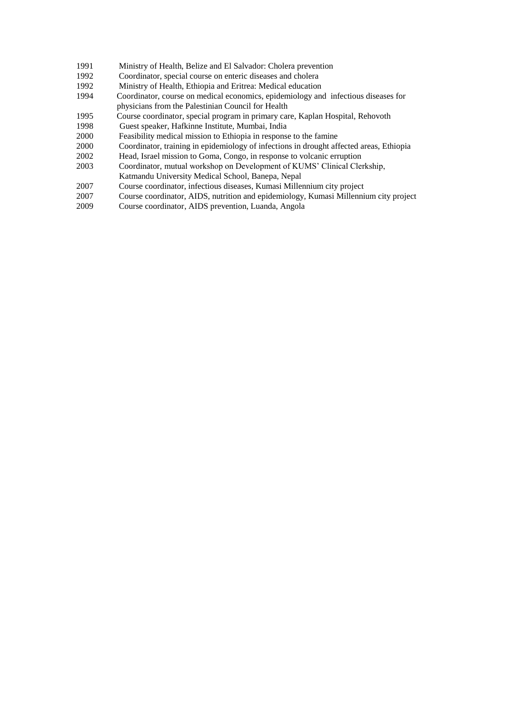- 1991 Ministry of Health, Belize and El Salvador: Cholera prevention
- 1992 Coordinator, special course on enteric diseases and cholera
- 1992 Ministry of Health, Ethiopia and Eritrea: Medical education
- 1994 Coordinator, course on medical economics, epidemiology and infectious diseases for physicians from the Palestinian Council for Health
- 1995 Course coordinator, special program in primary care, Kaplan Hospital, Rehovoth
- 1998 Guest speaker, Hafkinne Institute, Mumbai, India
- 2000 Feasibility medical mission to Ethiopia in response to the famine<br>2000 Coordinator, training in epidemiology of infections in drought aff
- 2000 Coordinator, training in epidemiology of infections in drought affected areas, Ethiopia
- 2002 Head, Israel mission to Goma, Congo, in response to volcanic erruption
- 2003 Coordinator, mutual workshop on Development of KUMS' Clinical Clerkship,
- Katmandu University Medical School, Banepa, Nepal
- 2007 Course coordinator, infectious diseases, Kumasi Millennium city project
- 2007 Course coordinator, AIDS, nutrition and epidemiology, Kumasi Millennium city project
- 2009 Course coordinator, AIDS prevention, Luanda, Angola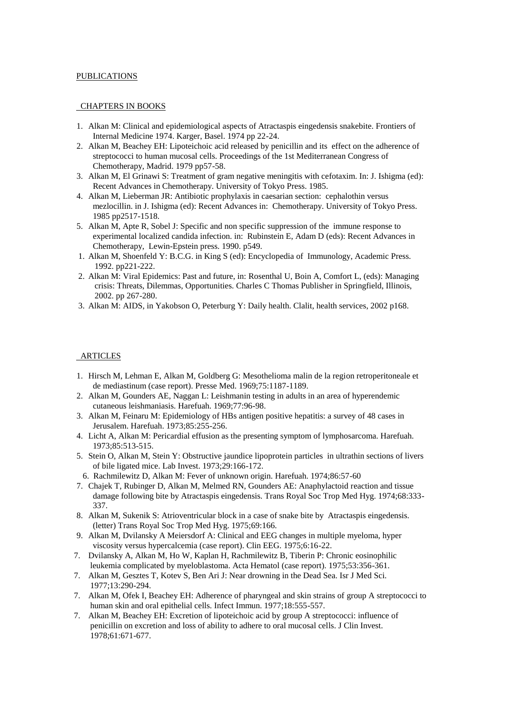## PUBLICATIONS

## CHAPTERS IN BOOKS

- 1. Alkan M: Clinical and epidemiological aspects of Atractaspis eingedensis snakebite. Frontiers of Internal Medicine 1974. Karger, Basel. 1974 pp 22-24.
- 2. Alkan M, Beachey EH: Lipoteichoic acid released by penicillin and its effect on the adherence of streptococci to human mucosal cells. Proceedings of the 1st Mediterranean Congress of Chemotherapy, Madrid. 1979 pp57-58.
- 3. Alkan M, El Grinawi S: Treatment of gram negative meningitis with cefotaxim. In: J. Ishigma (ed): Recent Advances in Chemotherapy. University of Tokyo Press. 1985.
- 4. Alkan M, Lieberman JR: Antibiotic prophylaxis in caesarian section: cephalothin versus mezlocillin. in J. Ishigma (ed): Recent Advances in: Chemotherapy. University of Tokyo Press. 1985 pp2517-1518.
- 5. Alkan M, Apte R, Sobel J: Specific and non specific suppression of the immune response to experimental localized candida infection. in: Rubinstein E, Adam D (eds): Recent Advances in Chemotherapy, Lewin-Epstein press. 1990. p549.
- 1. Alkan M, Shoenfeld Y: B.C.G. in King S (ed): Encyclopedia of Immunology, Academic Press. 1992. pp221-222.
- 2. Alkan M: Viral Epidemics: Past and future, in: Rosenthal U, Boin A, Comfort L, (eds): Managing crisis: Threats, Dilemmas, Opportunities. Charles C Thomas Publisher in Springfield, Illinois, 2002. pp 267-280.
- 3. Alkan M: AIDS, in Yakobson O, Peterburg Y: Daily health. Clalit, health services, 2002 p168.

### **ARTICLES**

- 1. Hirsch M, Lehman E, Alkan M, Goldberg G: Mesothelioma malin de la region retroperitoneale et de mediastinum (case report). Presse Med. 1969;75:1187-1189.
- 2. Alkan M, Gounders AE, Naggan L: Leishmanin testing in adults in an area of hyperendemic cutaneous leishmaniasis. Harefuah. 1969;77:96-98.
- 3. Alkan M, Feinaru M: Epidemiology of HBs antigen positive hepatitis: a survey of 48 cases in Jerusalem. Harefuah. 1973;85:255-256.
- 4. Licht A, Alkan M: Pericardial effusion as the presenting symptom of lymphosarcoma. Harefuah. 1973;85:513-515.
- 5. Stein O, Alkan M, Stein Y: Obstructive jaundice lipoprotein particles in ultrathin sections of livers of bile ligated mice. Lab Invest. 1973;29:166-172.
- 6. Rachmilewitz D, Alkan M: Fever of unknown origin. Harefuah. 1974;86:57-60
- 7. Chajek T, Rubinger D, Alkan M, Melmed RN, Gounders AE: Anaphylactoid reaction and tissue damage following bite by Atractaspis eingedensis. Trans Royal Soc Trop Med Hyg. 1974;68:333- 337.
- 8. Alkan M, Sukenik S: Atrioventricular block in a case of snake bite by Atractaspis eingedensis. (letter) Trans Royal Soc Trop Med Hyg. 1975;69:166.
- 9. Alkan M, Dvilansky A Meiersdorf A: Clinical and EEG changes in multiple myeloma, hyper viscosity versus hypercalcemia (case report). Clin EEG. 1975;6:16-22.
- 7. Dvilansky A, Alkan M, Ho W, Kaplan H, Rachmilewitz B, Tiberin P: Chronic eosinophilic leukemia complicated by myeloblastoma. Acta Hematol (case report). 1975;53:356-361.
- 7. Alkan M, Gesztes T, Kotev S, Ben Ari J: Near drowning in the Dead Sea. Isr J Med Sci. 1977;13:290-294.
- 7. Alkan M, Ofek I, Beachey EH: Adherence of pharyngeal and skin strains of group A streptococci to human skin and oral epithelial cells. Infect Immun. 1977;18:555-557.
- 7. Alkan M, Beachey EH: Excretion of lipoteichoic acid by group A streptococci: influence of penicillin on excretion and loss of ability to adhere to oral mucosal cells. J Clin Invest. 1978;61:671-677.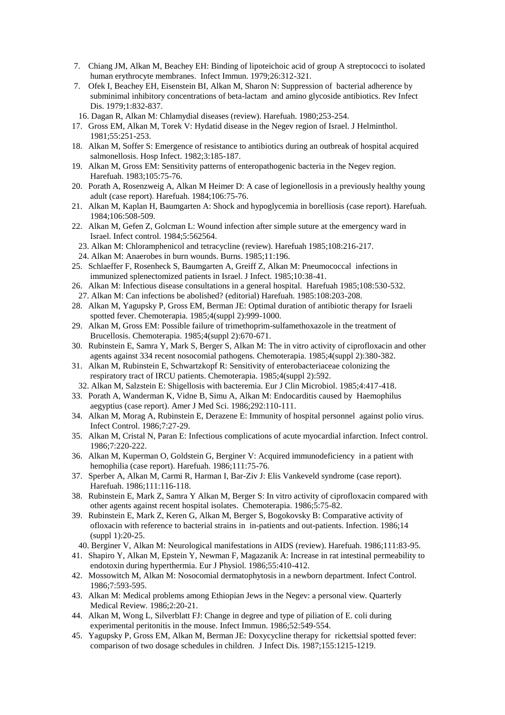- 7. Chiang JM, Alkan M, Beachey EH: Binding of lipoteichoic acid of group A streptococci to isolated human erythrocyte membranes. Infect Immun. 1979;26:312-321.
- 7. Ofek I, Beachey EH, Eisenstein BI, Alkan M, Sharon N: Suppression of bacterial adherence by subminimal inhibitory concentrations of beta-lactam and amino glycoside antibiotics. Rev Infect Dis. 1979;1:832-837.
- 16. Dagan R, Alkan M: Chlamydial diseases (review). Harefuah. 1980;253-254.
- 17. Gross EM, Alkan M, Torek V: Hydatid disease in the Negev region of Israel. J Helminthol. 1981;55:251-253.
- 18. Alkan M, Soffer S: Emergence of resistance to antibiotics during an outbreak of hospital acquired salmonellosis. Hosp Infect. 1982;3:185-187.
- 19. Alkan M, Gross EM: Sensitivity patterns of enteropathogenic bacteria in the Negev region. Harefuah. 1983;105:75-76.
- 20. Porath A, Rosenzweig A, Alkan M Heimer D: A case of legionellosis in a previously healthy young adult (case report). Harefuah. 1984;106:75-76.
- 21. Alkan M, Kaplan H, Baumgarten A: Shock and hypoglycemia in borelliosis (case report). Harefuah. 1984;106:508-509.
- 22. Alkan M, Gefen Z, Golcman L: Wound infection after simple suture at the emergency ward in Israel. Infect control. 1984;5:562564.
	- 23. Alkan M: Chloramphenicol and tetracycline (review). Harefuah 1985;108:216-217.
- 24. Alkan M: Anaerobes in burn wounds. Burns. 1985;11:196.
- 25. Schlaeffer F, Rosenheck S, Baumgarten A, Greiff Z, Alkan M: Pneumococcal infections in immunized splenectomized patients in Israel. J Infect. 1985;10:38-41.
- 26. Alkan M: Infectious disease consultations in a general hospital. Harefuah 1985;108:530-532.
- 27. Alkan M: Can infections be abolished? (editorial) Harefuah. 1985:108:203-208.
- 28. Alkan M, Yagupsky P, Gross EM, Berman JE: Optimal duration of antibiotic therapy for Israeli spotted fever. Chemoterapia. 1985;4(suppl 2):999-1000.
- 29. Alkan M, Gross EM: Possible failure of trimethoprim-sulfamethoxazole in the treatment of Brucellosis. Chemoterapia. 1985;4(suppl 2):670-671.
- 30. Rubinstein E, Samra Y, Mark S, Berger S, Alkan M: The in vitro activity of ciprofloxacin and other agents against 334 recent nosocomial pathogens. Chemoterapia. 1985;4(suppl 2):380-382.
- 31. Alkan M, Rubinstein E, Schwartzkopf R: Sensitivity of enterobacteriaceae colonizing the respiratory tract of IRCU patients. Chemoterapia. 1985;4(suppl 2):592.
- 32. Alkan M, Salzstein E: Shigellosis with bacteremia. Eur J Clin Microbiol. 1985;4:417-418.
- 33. Porath A, Wanderman K, Vidne B, Simu A, Alkan M: Endocarditis caused by Haemophilus aegyptius (case report). Amer J Med Sci. 1986;292:110-111.
- 34. Alkan M, Morag A, Rubinstein E, Derazene E: Immunity of hospital personnel against polio virus. Infect Control. 1986;7:27-29.
- 35. Alkan M, Cristal N, Paran E: Infectious complications of acute myocardial infarction. Infect control. 1986;7:220-222.
- 36. Alkan M, Kuperman O, Goldstein G, Berginer V: Acquired immunodeficiency in a patient with hemophilia (case report). Harefuah. 1986;111:75-76.
- 37. Sperber A, Alkan M, Carmi R, Harman I, Bar-Ziv J: Elis Vankeveld syndrome (case report). Harefuah. 1986;111:116-118.
- 38. Rubinstein E, Mark Z, Samra Y Alkan M, Berger S: In vitro activity of ciprofloxacin compared with other agents against recent hospital isolates. Chemoterapia. 1986;5:75-82.
- 39. Rubinstein E, Mark Z, Keren G, Alkan M, Berger S, Bogokovsky B: Comparative activity of ofloxacin with reference to bacterial strains in in-patients and out-patients. Infection. 1986;14 (suppl 1):20-25.
- 40. Berginer V, Alkan M: Neurological manifestations in AIDS (review). Harefuah. 1986;111:83-95.
- 41. Shapiro Y, Alkan M, Epstein Y, Newman F, Magazanik A: Increase in rat intestinal permeability to endotoxin during hyperthermia. Eur J Physiol. 1986;55:410-412.
- 42. Mossowitch M, Alkan M: Nosocomial dermatophytosis in a newborn department. Infect Control. 1986;7:593-595.
- 43. Alkan M: Medical problems among Ethiopian Jews in the Negev: a personal view. Quarterly Medical Review. 1986;2:20-21.
- 44. Alkan M, Wong L, Silverblatt FJ: Change in degree and type of piliation of E. coli during experimental peritonitis in the mouse. Infect Immun. 1986;52:549-554.
- 45. Yagupsky P, Gross EM, Alkan M, Berman JE: Doxycycline therapy for rickettsial spotted fever: comparison of two dosage schedules in children. J Infect Dis. 1987;155:1215-1219.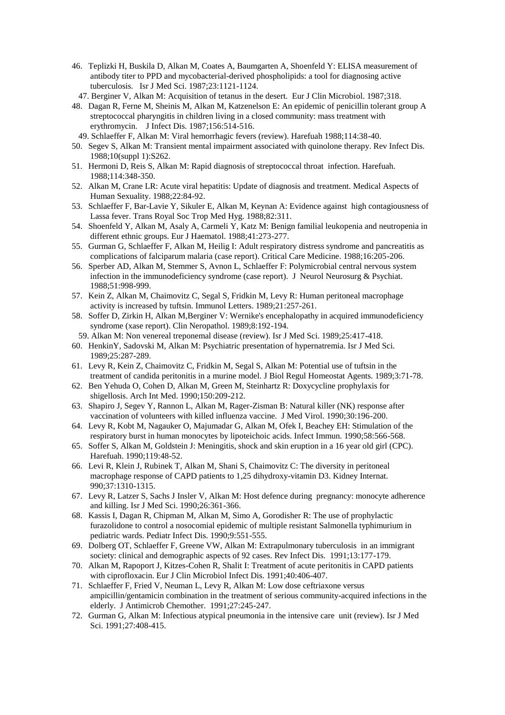- 46. Teplizki H, Buskila D, Alkan M, Coates A, Baumgarten A, Shoenfeld Y: ELISA measurement of antibody titer to PPD and mycobacterial-derived phospholipids: a tool for diagnosing active tuberculosis. Isr J Med Sci. 1987;23:1121-1124.
- 47. Berginer V, Alkan M: Acquisition of tetanus in the desert. Eur J Clin Microbiol. 1987;318.
- 48. Dagan R, Ferne M, Sheinis M, Alkan M, Katzenelson E: An epidemic of penicillin tolerant group A streptococcal pharyngitis in children living in a closed community: mass treatment with erythromycin. J Infect Dis. 1987;156:514-516.
- 49. Schlaeffer F, Alkan M: Viral hemorrhagic fevers (review). Harefuah 1988;114:38-40.
- 50. Segev S, Alkan M: Transient mental impairment associated with quinolone therapy. Rev Infect Dis. 1988;10(suppl 1):S262.
- 51. Hermoni D, Reis S, Alkan M: Rapid diagnosis of streptococcal throat infection. Harefuah. 1988;114:348-350.
- 52. Alkan M, Crane LR: Acute viral hepatitis: Update of diagnosis and treatment. Medical Aspects of Human Sexuality. 1988;22:84-92.
- 53. Schlaeffer F, Bar-Lavie Y, Sikuler E, Alkan M, Keynan A: Evidence against high contagiousness of Lassa fever. Trans Royal Soc Trop Med Hyg. 1988;82:311.
- 54. Shoenfeld Y, Alkan M, Asaly A, Carmeli Y, Katz M: Benign familial leukopenia and neutropenia in different ethnic groups. Eur J Haematol. 1988;41:273-277.
- 55. Gurman G, Schlaeffer F, Alkan M, Heilig I: Adult respiratory distress syndrome and pancreatitis as complications of falciparum malaria (case report). Critical Care Medicine. 1988;16:205-206.
- 56. Sperber AD, Alkan M, Stemmer S, Avnon L, Schlaeffer F: Polymicrobial central nervous system infection in the immunodeficiency syndrome (case report). J Neurol Neurosurg & Psychiat. 1988;51:998-999.
- 57. Kein Z, Alkan M, Chaimovitz C, Segal S, Fridkin M, Levy R: Human peritoneal macrophage activity is increased by tuftsin. Immunol Letters. 1989;21:257-261.
- 58. Soffer D, Zirkin H, Alkan M,Berginer V: Wernike's encephalopathy in acquired immunodeficiency syndrome (xase report). Clin Neropathol. 1989;8:192-194.
- 59. Alkan M: Non venereal treponemal disease (review). Isr J Med Sci. 1989;25:417-418.
- 60. HenkinY, Sadovski M, Alkan M: Psychiatric presentation of hypernatremia. Isr J Med Sci. 1989;25:287-289.
- 61. Levy R, Kein Z, Chaimovitz C, Fridkin M, Segal S, Alkan M: Potential use of tuftsin in the treatment of candida peritonitis in a murine model. J Biol Regul Homeostat Agents. 1989;3:71-78.
- 62. Ben Yehuda O, Cohen D, Alkan M, Green M, Steinhartz R: Doxycycline prophylaxis for shigellosis. Arch Int Med. 1990;150:209-212.
- 63. Shapiro J, Segev Y, Rannon L, Alkan M, Rager-Zisman B: Natural killer (NK) response after vaccination of volunteers with killed influenza vaccine. J Med Virol. 1990;30:196-200.
- 64. Levy R, Kobt M, Nagauker O, Majumadar G, Alkan M, Ofek I, Beachey EH: Stimulation of the respiratory burst in human monocytes by lipoteichoic acids. Infect Immun. 1990;58:566-568.
- 65. Soffer S, Alkan M, Goldstein J: Meningitis, shock and skin eruption in a 16 year old girl (CPC). Harefuah. 1990;119:48-52.
- 66. Levi R, Klein J, Rubinek T, Alkan M, Shani S, Chaimovitz C: The diversity in peritoneal macrophage response of CAPD patients to 1,25 dihydroxy-vitamin D3. Kidney Internat. 990;37:1310-1315.
- 67. Levy R, Latzer S, Sachs J Insler V, Alkan M: Host defence during pregnancy: monocyte adherence and killing. Isr J Med Sci. 1990;26:361-366.
- 68. Kassis I, Dagan R, Chipman M, Alkan M, Simo A, Gorodisher R: The use of prophylactic furazolidone to control a nosocomial epidemic of multiple resistant Salmonella typhimurium in pediatric wards. Pediatr Infect Dis. 1990;9:551-555.
- 69. Dolberg OT, Schlaeffer F, Greene VW, Alkan M: Extrapulmonary tuberculosis in an immigrant society: clinical and demographic aspects of 92 cases. Rev Infect Dis. 1991;13:177-179.
- 70. Alkan M, Rapoport J, Kitzes-Cohen R, Shalit I: Treatment of acute peritonitis in CAPD patients with ciprofloxacin. Eur J Clin Microbiol Infect Dis. 1991;40:406-407.
- 71. Schlaeffer F, Fried V, Neuman L, Levy R, Alkan M: Low dose ceftriaxone versus ampicillin/gentamicin combination in the treatment of serious community-acquired infections in the elderly. J Antimicrob Chemother. 1991;27:245-247.
- 72. Gurman G, Alkan M: Infectious atypical pneumonia in the intensive care unit (review). Isr J Med Sci. 1991;27:408-415.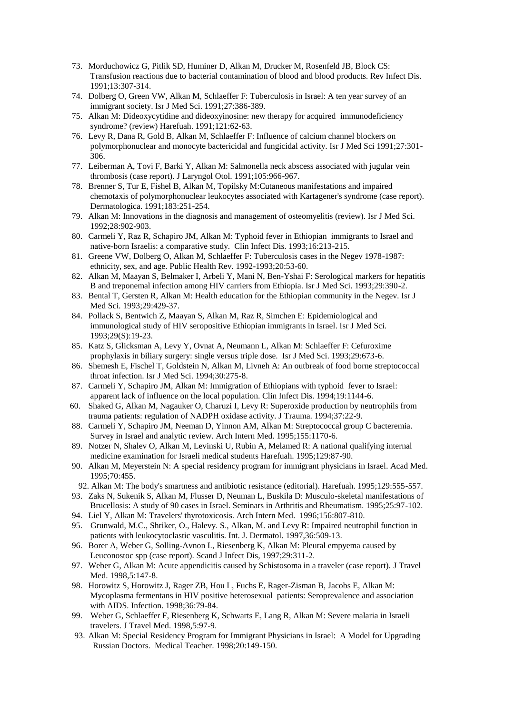- 73. Morduchowicz G, Pitlik SD, Huminer D, Alkan M, Drucker M, Rosenfeld JB, Block CS: Transfusion reactions due to bacterial contamination of blood and blood products. Rev Infect Dis. 1991;13:307-314.
- 74. Dolberg O, Green VW, Alkan M, Schlaeffer F: Tuberculosis in Israel: A ten year survey of an immigrant society. Isr J Med Sci. 1991;27:386-389.
- 75. Alkan M: Dideoxycytidine and dideoxyinosine: new therapy for acquired immunodeficiency syndrome? (review) Harefuah. 1991;121:62-63.
- 76. Levy R, Dana R, Gold B, Alkan M, Schlaeffer F: Influence of calcium channel blockers on polymorphonuclear and monocyte bactericidal and fungicidal activity. Isr J Med Sci 1991;27:301- 306.
- 77. Leiberman A, Tovi F, Barki Y, Alkan M: Salmonella neck abscess associated with jugular vein thrombosis (case report). J Laryngol Otol. 1991;105:966-967.
- 78. Brenner S, Tur E, Fishel B, Alkan M, Topilsky M:Cutaneous manifestations and impaired chemotaxis of polymorphonuclear leukocytes associated with Kartagener's syndrome (case report). Dermatologica. 1991;183:251-254.
- 79. Alkan M: Innovations in the diagnosis and management of osteomyelitis (review). Isr J Med Sci. 1992;28:902-903.
- 80. Carmeli Y, Raz R, Schapiro JM, Alkan M: Typhoid fever in Ethiopian immigrants to Israel and native-born Israelis: a comparative study. Clin Infect Dis. 1993;16:213-215.
- 81. Greene VW, Dolberg O, Alkan M, Schlaeffer F: Tuberculosis cases in the Negev 1978-1987: ethnicity, sex, and age. Public Health Rev. 1992-1993;20:53-60.
- 82. Alkan M, Maayan S, Belmaker I, Arbeli Y, Mani N, Ben-Yshai F: Serological markers for hepatitis B and treponemal infection among HIV carriers from Ethiopia. Isr J Med Sci. 1993;29:390-2.
- 83. Bental T, Gersten R, Alkan M: Health education for the Ethiopian community in the Negev. Isr J Med Sci. 1993;29:429-37.
- 84. Pollack S, Bentwich Z, Maayan S, Alkan M, Raz R, Simchen E: Epidemiological and immunological study of HIV seropositive Ethiopian immigrants in Israel. Isr J Med Sci. 1993;29(S):19-23.
- 85. Katz S, Glicksman A, Levy Y, Ovnat A, Neumann L, Alkan M: Schlaeffer F: Cefuroxime prophylaxis in biliary surgery: single versus triple dose. Isr J Med Sci. 1993;29:673-6.
- 86. Shemesh E, Fischel T, Goldstein N, Alkan M, Livneh A: An outbreak of food borne streptococcal throat infection. Isr J Med Sci. 1994;30:275-8.
- 87. Carmeli Y, Schapiro JM, Alkan M: Immigration of Ethiopians with typhoid fever to Israel: apparent lack of influence on the local population. Clin Infect Dis. 1994;19:1144-6.
- 60. Shaked G, Alkan M, Nagauker O, Charuzi I, Levy R: Superoxide production by neutrophils from trauma patients: regulation of NADPH oxidase activity. J Trauma. 1994;37:22-9.
- 88. Carmeli Y, Schapiro JM, Neeman D, Yinnon AM, Alkan M: Streptococcal group C bacteremia. Survey in Israel and analytic review. Arch Intern Med. 1995;155:1170-6.
- 89. Notzer N, Shalev O, Alkan M, Levinski U, Rubin A, Melamed R: A national qualifying internal medicine examination for Israeli medical students Harefuah. 1995;129:87-90.
- 90. Alkan M, Meyerstein N: A special residency program for immigrant physicians in Israel. Acad Med. 1995;70:455.
- 92. Alkan M: The body's smartness and antibiotic resistance (editorial). Harefuah. 1995;129:555-557.
- 93. Zaks N, Sukenik S, Alkan M, Flusser D, Neuman L, Buskila D: Musculo-skeletal manifestations of Brucellosis: A study of 90 cases in Israel. Seminars in Arthritis and Rheumatism. 1995;25:97-102.
- 94. Liel Y, Alkan M: Travelers' thyrotoxicosis. Arch Intern Med. 1996;156:807-810.
- 95. Grunwald, M.C., Shriker, O., Halevy. S., Alkan, M. and Levy R: Impaired neutrophil function in patients with leukocytoclastic vasculitis. Int. J. Dermatol. 1997,36:509-13.
- 96. Borer A, Weber G, Solling-Avnon L, Riesenberg K, Alkan M: Pleural empyema caused by Leuconostoc spp (case report). Scand J Infect Dis, 1997;29:311-2.
- 97. Weber G, Alkan M: Acute appendicitis caused by Schistosoma in a traveler (case report). J Travel Med. 1998,5:147-8.
- 98. Horowitz S, Horowitz J, Rager ZB, Hou L, Fuchs E, Rager-Zisman B, Jacobs E, Alkan M: Mycoplasma fermentans in HIV positive heterosexual patients: Seroprevalence and association with AIDS. Infection. 1998;36:79-84.
- 99. Weber G, Schlaeffer F, Riesenberg K, Schwarts E, Lang R, Alkan M: Severe malaria in Israeli travelers. J Travel Med. 1998,5:97-9.
- 93. Alkan M: Special Residency Program for Immigrant Physicians in Israel: A Model for Upgrading Russian Doctors. Medical Teacher. 1998;20:149-150.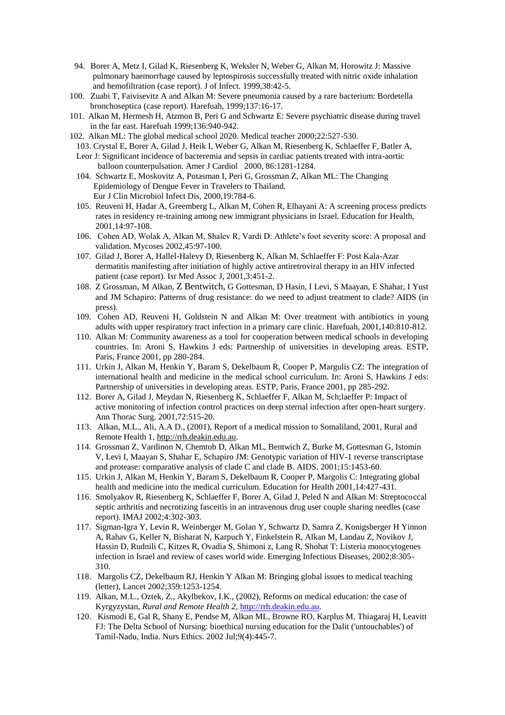- 94. Borer A, Metz I, Gilad K, Riesenberg K, Weksler N, Weber G, Alkan M, Horowitz J: Massive pulmonary haemorrhage caused by leptospirosis successfully treated with nitric oxide inhalation and hemofiltration (case report). J of Infect. 1999,38:42-5.
- 100. Zuabi T, Faivisevitz A and Alkan M: Severe pneumonia caused by a rare bacterium: Bordetella bronchoseptica (case report). Harefuah, 1999;137:16-17.
- 101. Alkan M, Hermesh H, Atzmon B, Peri G and Schwartz E: Severe psychiatric disease during travel in the far east. Harefuah 1999;136:940-942.
- 102. Alkan ML: The global medical school 2020. Medical teacher 2000;22:527-530.
	- 103. Crystal E, Borer A, Gilad J, Heik I, Weber G, Alkan M, Riesenberg K, Schlaeffer F, Batler A, Leor J: Significant incidence of bacteremia and sepsis in cardiac patients treated with intra-aortic
	- balloon counterpulsation. Amer J Cardiol 2000, 86:1281-1284.
	- 104. Schwartz E, Moskovitz A, Potasman I, Peri G, Grossman Z, Alkan ML: The Changing Epidemiology of Dengue Fever in Travelers to Thailand. Eur J Clin Microbiol Infect Dis, 2000,19:784-6.
	- 105. Reuveni H, Hadar A, Greemberg L, Alkan M, Cohen R, Elhayani A: A screening process predicts rates in residency re-training among new immigrant physicians in Israel. Education for Health, 2001,14:97-108.
	- 106. Cohen AD, Wolak A, Alkan M, Shalev R, Vardi D: Athlete's foot severity score: A proposal and validation. Mycoses 2002,45:97-100.
	- 107. Gilad J, Borer A, Hallel-Halevy D, Riesenberg K, Alkan M, Schlaeffer F: Post Kala-Azar dermatitis manifesting after initiation of highly active antiretroviral therapy in an HIV infected patient (case report). Isr Med Assoc J, 2001,3:451-2.
	- 108. Z Grossman, M Alkan, Z Bentwitch, G Gottesman, D Hasin, I Levi, S Maayan, E Shahar, I Yust and JM Schapiro: Patterns of drug resistance: do we need to adjust treatment to clade? AIDS (in press).
	- 109. Cohen AD, Reuveni H, Goldstein N and Alkan M: Over treatment with antibiotics in young adults with upper respiratory tract infection in a primary care clinic. Harefuah, 2001,140:810-812.
	- 110. Alkan M: Community awareness as a tool for cooperation between medical schools in developing countries. In: Aroni S, Hawkins J eds: Partnership of universities in developing areas. ESTP, Paris, France 2001, pp 280-284.
	- 111. Urkin J, Alkan M, Henkin Y, Baram S, Dekelbaum R, Cooper P, Margulis CZ: The integration of international health and medicine in the medical school curriculum. In: Aroni S, Hawkins J eds: Partnership of universities in developing areas. ESTP, Paris, France 2001, pp 285-292.
	- 112. Borer A, Gilad J, Meydan N, Riesenberg K, Schlaeffer F, Alkan M, Sch;laeffer P: Impact of active monitoring of infection control practices on deep sternal infection after open-heart surgery. Ann Thorac Surg. 2001,72:515-20.
	- 113. Alkan, M.L., Ali, A.A D., (2001), Report of a medical mission to Somaliland, 2001, Rural and Remote Health 1, [http://rrh.deakin.edu.au.](http://rrh.deakin.edu.au/)
	- 114. Grossman Z, Vardinon N, Chemtob D, Alkan ML, Bentwich Z, Burke M, Gottesman G, Istomin V, Levi I, Maayan S, Shahar E, Schapiro JM: Genotypic variation of HIV-1 reverse transcriptase and protease: comparative analysis of clade C and clade B. AIDS. 2001;15:1453-60.
	- 115. Urkin J, Alkan M, Henkin Y, Baram S, Dekelbaum R, Cooper P, Margolis C: Integrating global health and medicine into the medical curriculum. Education for Health 2001,14:427-431.
	- 116. Smolyakov R, Riesenberg K, Schlaeffer F, Borer A, Gilad J, Peled N and Alkan M: Streptococcal septic arthritis and necrotizing fasceitis in an intravenous drug user couple sharing needles (case report). IMAJ 2002;4:302-303.
	- 117. Sigman-Igra Y, Levin R, Weinberger M, Golan Y, Schwartz D, Samra Z, Konigsberger H Yinnon A, Rahav G, Keller N, Bisharat N, Karpuch Y, Finkelstein R, Alkan M, Landau Z, Novikov J, Hassin D, Rudnili C, Kitzes R, Ovadia S, Shimoni z, Lang R, Shohat T: Listeria monocytogenes infection in Israel and review of cases world wide. Emerging Infectious Diseases, 2002;8:305- 310.
	- 118. Margolis CZ, Dekelbaum RJ, Henkin Y Alkan M: Bringing global issues to medical teaching (letter), Lancet 2002;359:1253-1254.
	- 119. Alkan, M.L., Oztek, Z., Akylbekov, I.K., (2002), Reforms on medical education: the case of Kyrgyzystan, *Rural and Remote Health 2*, [http://rrh.deakin.edu.au.](http://rrh.deakin.edu.au/)
	- 120. [Kismodi E, Gal R, Shany E, Pendse M, Alkan ML, Browne RO, Karplus M, Thiagaraj H, Leavitt](http://www.ncbi.nlm.nih.gov/entrez/query.fcgi?cmd=Retrieve&db=PubMed&list_uids=12219407&dopt=Abstract)  [FJ:](http://www.ncbi.nlm.nih.gov/entrez/query.fcgi?cmd=Retrieve&db=PubMed&list_uids=12219407&dopt=Abstract) The Delta School of Nursing: bioethical nursing education for the Dalit ('untouchables') of Tamil-Nadu, India. Nurs Ethics. 2002 Jul;9(4):445-7.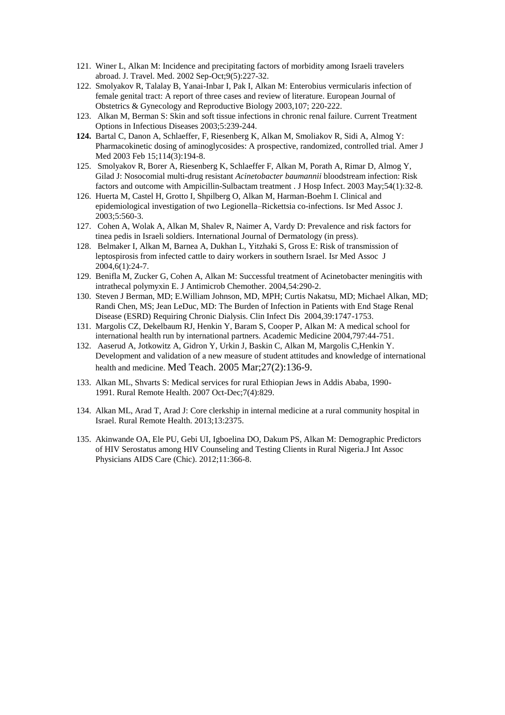- 121. Winer L, Alkan M: Incidence and precipitating factors of morbidity among Israeli travelers abroad. J. Travel. Med. 2002 Sep-Oct;9(5):227-32.
- 122. Smolyakov R, Talalay B, Yanai-Inbar I, Pak I, Alkan M: Enterobius vermicularis infection of female genital tract: A report of three cases and review of literature. European Journal of Obstetrics & Gynecology and Reproductive Biology 2003,107; 220-222.
- 123. Alkan M, Berman S: Skin and soft tissue infections in chronic renal failure. Current Treatment Options in Infectious Diseases 2003;5:239-244.
- **124.** Bartal C, Danon A, Schlaeffer, F, Riesenberg K, Alkan M, Smoliakov R, Sidi A, Almog Y: Pharmacokinetic dosing of aminoglycosides: A prospective, randomized, controlled trial. Amer J Med 2003 Feb 15;114(3):194-8.
- 125. [Smolyakov R, Borer A, Riesenberg K, Schlaeffer F, Alkan M, Porath A, Rimar D, Almog Y,](/entrez/query.fcgi?cmd=Retrieve&db=pubmed&dopt=Abstract&list_uids=12767844)  [Gilad J:](/entrez/query.fcgi?cmd=Retrieve&db=pubmed&dopt=Abstract&list_uids=12767844) Nosocomial multi-drug resistant *Acinetobacter baumannii* bloodstream infection: Risk factors and outcome with Ampicillin-Sulbactam treatment . J Hosp Infect. 2003 May;54(1):32-8.
- 126. Huerta M, Castel H, Grotto I, Shpilberg O, Alkan M, Harman-Boehm I. Clinical and epidemiological investigation of two Legionella–Rickettsia co-infections. Isr Med Assoc J. 2003;5:560-3.
- 127. Cohen A, Wolak A, Alkan M, Shalev R, Naimer A, Vardy D: Prevalence and risk factors for tinea pedis in Israeli soldiers. International Journal of Dermatology (in press).
- 128. Belmaker I, Alkan M, Barnea A, Dukhan L, Yitzhaki S, Gross E: Risk of transmission of leptospirosis from infected cattle to dairy workers in southern Israel. Isr Med Assoc J 2004,6(1):24-7.
- 129. Benifla M, Zucker G, Cohen A, Alkan M: Successful treatment of Acinetobacter meningitis with intrathecal polymyxin E. J Antimicrob Chemother. 2004,54:290-2.
- 130. Steven J Berman, MD; E.William Johnson, MD, MPH; Curtis Nakatsu, MD; Michael Alkan, MD; Randi Chen, MS; Jean LeDuc, MD: The Burden of Infection in Patients with End Stage Renal Disease (ESRD) Requiring Chronic Dialysis. Clin Infect Dis 2004,39:1747-1753.
- 131. Margolis CZ, Dekelbaum RJ, Henkin Y, Baram S, Cooper P, Alkan M: A medical school for international health run by international partners. Academic Medicine 2004,797:44-751.
- 132. Aaserud A, Jotkowitz A, Gidron Y, Urkin J, Baskin C, Alkan M, Margolis C,Henkin Y. Development and validation of a new measure of student attitudes and knowledge of international health and medicine. Med Teach. 2005 Mar;27(2):136-9.
- 133. Alkan ML, Shvarts S: [Medical services for rural Ethiopian Jews in Addis Ababa, 1990-](http://www.ncbi.nlm.nih.gov/pubmed/17970616) [1991.](http://www.ncbi.nlm.nih.gov/pubmed/17970616) Rural Remote Health. 2007 Oct-Dec;7(4):829.
- 134. Alkan ML, Arad T, Arad J: [Core clerkship in internal medicine at a rural community hospital in](http://www.ncbi.nlm.nih.gov/pubmed/23672614)  [Israel.](http://www.ncbi.nlm.nih.gov/pubmed/23672614) Rural Remote Health. 2013;13:2375.
- 135. Akinwande OA, Ele PU, Gebi UI, Igboelina DO, Dakum PS, Alkan M: [Demographic Predictors](http://www.ncbi.nlm.nih.gov/pubmed/22875580)  [of HIV Serostatus among HIV Counseling and Testing Clients in Rural Nigeria.J](http://www.ncbi.nlm.nih.gov/pubmed/22875580) Int Assoc Physicians AIDS Care (Chic). 2012;11:366-8.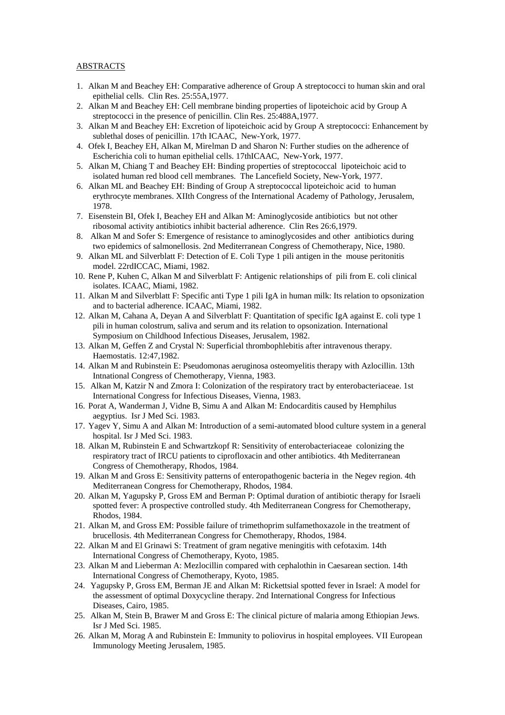## ABSTRACTS

- 1. Alkan M and Beachey EH: Comparative adherence of Group A streptococci to human skin and oral epithelial cells. Clin Res. 25:55A,1977.
- 2. Alkan M and Beachey EH: Cell membrane binding properties of lipoteichoic acid by Group A streptococci in the presence of penicillin. Clin Res. 25:488A,1977.
- 3. Alkan M and Beachey EH: Excretion of lipoteichoic acid by Group A streptococci: Enhancement by sublethal doses of penicillin. 17th ICAAC, New-York, 1977.
- 4. Ofek I, Beachey EH, Alkan M, Mirelman D and Sharon N: Further studies on the adherence of Escherichia coli to human epithelial cells. 17thICAAC, New-York, 1977.
- 5. Alkan M, Chiang T and Beachey EH: Binding properties of streptococcal lipoteichoic acid to isolated human red blood cell membranes. The Lancefield Society, New-York, 1977.
- 6. Alkan ML and Beachey EH: Binding of Group A streptococcal lipoteichoic acid to human erythrocyte membranes. XIIth Congress of the International Academy of Pathology, Jerusalem, 1978.
- 7. Eisenstein BI, Ofek I, Beachey EH and Alkan M: Aminoglycoside antibiotics but not other ribosomal activity antibiotics inhibit bacterial adherence. Clin Res 26:6,1979.
- 8. Alkan M and Sofer S: Emergence of resistance to aminoglycosides and other antibiotics during two epidemics of salmonellosis. 2nd Mediterranean Congress of Chemotherapy, Nice, 1980.
- 9. Alkan ML and Silverblatt F: Detection of E. Coli Type 1 pili antigen in the mouse peritonitis model. 22rdICCAC, Miami, 1982.
- 10. Rene P, Kuhen C, Alkan M and Silverblatt F: Antigenic relationships of pili from E. coli clinical isolates. ICAAC, Miami, 1982.
- 11. Alkan M and Silverblatt F: Specific anti Type 1 pili IgA in human milk: Its relation to opsonization and to bacterial adherence. ICAAC, Miami, 1982.
- 12. Alkan M, Cahana A, Deyan A and Silverblatt F: Quantitation of specific IgA against E. coli type 1 pili in human colostrum, saliva and serum and its relation to opsonization. International Symposium on Childhood Infectious Diseases, Jerusalem, 1982.
- 13. Alkan M, Geffen Z and Crystal N: Superficial thrombophlebitis after intravenous therapy. Haemostatis. 12:47,1982.
- 14. Alkan M and Rubinstein E: Pseudomonas aeruginosa osteomyelitis therapy with Azlocillin. 13th Intnational Congress of Chemotherapy, Vienna, 1983.
- 15. Alkan M, Katzir N and Zmora I: Colonization of the respiratory tract by enterobacteriaceae. 1st International Congress for Infectious Diseases, Vienna, 1983.
- 16. Porat A, Wanderman J, Vidne B, Simu A and Alkan M: Endocarditis caused by Hemphilus aegyptius. Isr J Med Sci. 1983.
- 17. Yagev Y, Simu A and Alkan M: Introduction of a semi-automated blood culture system in a general hospital. Isr J Med Sci. 1983.
- 18. Alkan M, Rubinstein E and Schwartzkopf R: Sensitivity of enterobacteriaceae colonizing the respiratory tract of IRCU patients to ciprofloxacin and other antibiotics. 4th Mediterranean Congress of Chemotherapy, Rhodos, 1984.
- 19. Alkan M and Gross E: Sensitivity patterns of enteropathogenic bacteria in the Negev region. 4th Mediterranean Congress for Chemotherapy, Rhodos, 1984.
- 20. Alkan M, Yagupsky P, Gross EM and Berman P: Optimal duration of antibiotic therapy for Israeli spotted fever: A prospective controlled study. 4th Mediterranean Congress for Chemotherapy, Rhodos, 1984.
- 21. Alkan M, and Gross EM: Possible failure of trimethoprim sulfamethoxazole in the treatment of brucellosis. 4th Mediterranean Congress for Chemotherapy, Rhodos, 1984.
- 22. Alkan M and El Grinawi S: Treatment of gram negative meningitis with cefotaxim. 14th International Congress of Chemotherapy, Kyoto, 1985.
- 23. Alkan M and Lieberman A: Mezlocillin compared with cephalothin in Caesarean section. 14th International Congress of Chemotherapy, Kyoto, 1985.
- 24. Yagupsky P, Gross EM, Berman JE and Alkan M: Rickettsial spotted fever in Israel: A model for the assessment of optimal Doxycycline therapy. 2nd International Congress for Infectious Diseases, Cairo, 1985.
- 25. Alkan M, Stein B, Brawer M and Gross E: The clinical picture of malaria among Ethiopian Jews. Isr J Med Sci. 1985.
- 26. Alkan M, Morag A and Rubinstein E: Immunity to poliovirus in hospital employees. VII European Immunology Meeting Jerusalem, 1985.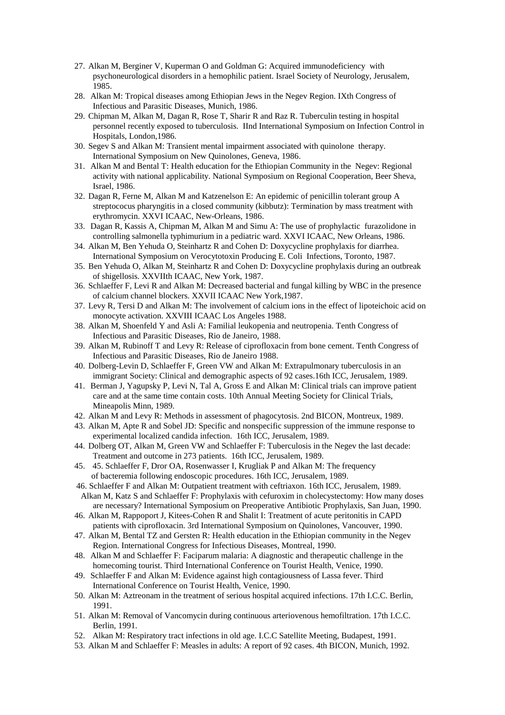- 27. Alkan M, Berginer V, Kuperman O and Goldman G: Acquired immunodeficiency with psychoneurological disorders in a hemophilic patient. Israel Society of Neurology, Jerusalem, 1985.
- 28. Alkan M: Tropical diseases among Ethiopian Jews in the Negev Region. IXth Congress of Infectious and Parasitic Diseases, Munich, 1986.
- 29. Chipman M, Alkan M, Dagan R, Rose T, Sharir R and Raz R. Tuberculin testing in hospital personnel recently exposed to tuberculosis. IInd International Symposium on Infection Control in Hospitals, London,1986.
- 30. Segev S and Alkan M: Transient mental impairment associated with quinolone therapy. International Symposium on New Quinolones, Geneva, 1986.
- 31. Alkan M and Bental T: Health education for the Ethiopian Community in the Negev: Regional activity with national applicability. National Symposium on Regional Cooperation, Beer Sheva, Israel, 1986.
- 32. Dagan R, Ferne M, Alkan M and Katzenelson E: An epidemic of penicillin tolerant group A streptococus pharyngitis in a closed community (kibbutz): Termination by mass treatment with erythromycin. XXVI ICAAC, New-Orleans, 1986.
- 33. Dagan R, Kassis A, Chipman M, Alkan M and Simu A: The use of prophylactic furazolidone in controlling salmonella typhimurium in a pediatric ward. XXVI ICAAC, New Orleans, 1986.
- 34. Alkan M, Ben Yehuda O, Steinhartz R and Cohen D: Doxycycline prophylaxis for diarrhea. International Symposium on Verocytotoxin Producing E. Coli Infections, Toronto, 1987.
- 35. Ben Yehuda O, Alkan M, Steinhartz R and Cohen D: Doxycycline prophylaxis during an outbreak of shigellosis. XXVIIth ICAAC, New York, 1987.
- 36. Schlaeffer F, Levi R and Alkan M: Decreased bacterial and fungal killing by WBC in the presence of calcium channel blockers. XXVII ICAAC New York,1987.
- 37. Levy R, Tersi D and Alkan M: The involvement of calcium ions in the effect of lipoteichoic acid on monocyte activation. XXVIII ICAAC Los Angeles 1988.
- 38. Alkan M, Shoenfeld Y and Asli A: Familial leukopenia and neutropenia. Tenth Congress of Infectious and Parasitic Diseases, Rio de Janeiro, 1988.
- 39. Alkan M, Rubinoff T and Levy R: Release of ciprofloxacin from bone cement. Tenth Congress of Infectious and Parasitic Diseases, Rio de Janeiro 1988.
- 40. Dolberg-Levin D, Schlaeffer F, Green VW and Alkan M: Extrapulmonary tuberculosis in an immigrant Society: Clinical and demographic aspects of 92 cases.16th ICC, Jerusalem, 1989.
- 41. Berman J, Yagupsky P, Levi N, Tal A, Gross E and Alkan M: Clinical trials can improve patient care and at the same time contain costs. 10th Annual Meeting Society for Clinical Trials, Mineapolis Minn, 1989.
- 42. Alkan M and Levy R: Methods in assessment of phagocytosis. 2nd BICON, Montreux, 1989.
- 43. Alkan M, Apte R and Sobel JD: Specific and nonspecific suppression of the immune response to experimental localized candida infection. 16th ICC, Jerusalem, 1989.
- 44. Dolberg OT, Alkan M, Green VW and Schlaeffer F: Tuberculosis in the Negev the last decade: Treatment and outcome in 273 patients. 16th ICC, Jerusalem, 1989.
- 45. 45. Schlaeffer F, Dror OA, Rosenwasser I, Krugliak P and Alkan M: The frequency of bacteremia following endoscopic procedures. 16th ICC, Jerusalem, 1989.
- 46. Schlaeffer F and Alkan M: Outpatient treatment with ceftriaxon. 16th ICC, Jerusalem, 1989. Alkan M, Katz S and Schlaeffer F: Prophylaxis with cefuroxim in cholecystectomy: How many doses
- are necessary? International Symposium on Preoperative Antibiotic Prophylaxis, San Juan, 1990. 46. Alkan M, Rappoport J, Kitees-Cohen R and Shalit I: Treatment of acute peritonitis in CAPD
- patients with ciprofloxacin. 3rd International Symposium on Quinolones, Vancouver, 1990. 47. Alkan M, Bental TZ and Gersten R: Health education in the Ethiopian community in the Negev Region. International Congress for Infectious Diseases, Montreal, 1990.
- 48. Alkan M and Schlaeffer F: Faciparum malaria: A diagnostic and therapeutic challenge in the homecoming tourist. Third International Conference on Tourist Health, Venice, 1990.
- 49. Schlaeffer F and Alkan M: Evidence against high contagiousness of Lassa fever. Third International Conference on Tourist Health, Venice, 1990.
- 50. Alkan M: Aztreonam in the treatment of serious hospital acquired infections. 17th I.C.C. Berlin, 1991.
- 51. Alkan M: Removal of Vancomycin during continuous arteriovenous hemofiltration. 17th I.C.C. Berlin, 1991.
- 52. Alkan M: Respiratory tract infections in old age. I.C.C Satellite Meeting, Budapest, 1991.
- 53. Alkan M and Schlaeffer F: Measles in adults: A report of 92 cases. 4th BICON, Munich, 1992.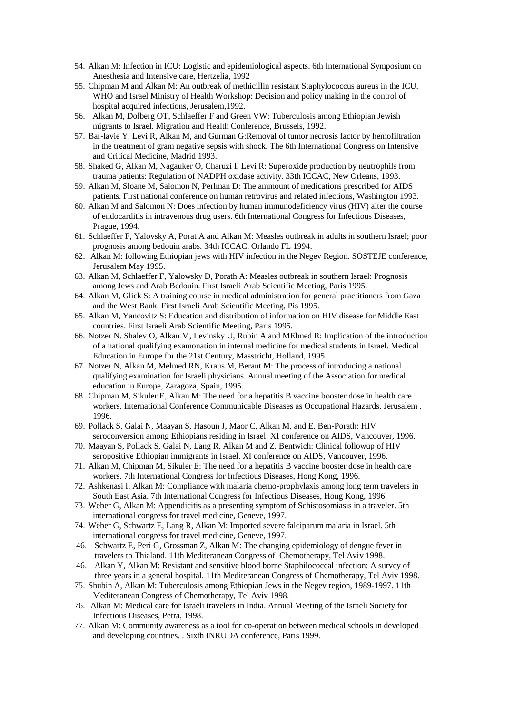- 54. Alkan M: Infection in ICU: Logistic and epidemiological aspects. 6th International Symposium on Anesthesia and Intensive care, Hertzelia, 1992
- 55. Chipman M and Alkan M: An outbreak of methicillin resistant Staphylococcus aureus in the ICU. WHO and Israel Ministry of Health Workshop: Decision and policy making in the control of hospital acquired infections, Jerusalem,1992.
- 56. Alkan M, Dolberg OT, Schlaeffer F and Green VW: Tuberculosis among Ethiopian Jewish migrants to Israel. Migration and Health Conference, Brussels, 1992.
- 57. Bar-lavie Y, Levi R, Alkan M, and Gurman G:Removal of tumor necrosis factor by hemofiltration in the treatment of gram negative sepsis with shock. The 6th International Congress on Intensive and Critical Medicine, Madrid 1993.
- 58. Shaked G, Alkan M, Nagauker O, Charuzi I, Levi R: Superoxide production by neutrophils from trauma patients: Regulation of NADPH oxidase activity. 33th ICCAC, New Orleans, 1993.
- 59. Alkan M, Sloane M, Salomon N, Perlman D: The ammount of medications prescribed for AIDS patients. First national conference on human retrovirus and related infections, Washington 1993.
- 60. Alkan M and Salomon N: Does infection by human immunodeficiency virus (HIV) alter the course of endocarditis in intravenous drug users. 6th International Congress for Infectious Diseases, Prague, 1994.
- 61. Schlaeffer F, Yalovsky A, Porat A and Alkan M: Measles outbreak in adults in southern Israel; poor prognosis among bedouin arabs. 34th ICCAC, Orlando FL 1994.
- 62. Alkan M: following Ethiopian jews with HIV infection in the Negev Region. SOSTEJE conference, Jerusalem May 1995.
- 63. Alkan M, Schlaeffer F, Yalowsky D, Porath A: Measles outbreak in southern Israel: Prognosis among Jews and Arab Bedouin. First Israeli Arab Scientific Meeting, Paris 1995.
- 64. Alkan M, Glick S: A training course in medical administration for general practitioners from Gaza and the West Bank. First Israeli Arab Scientific Meeting, Pis 1995.
- 65. Alkan M, Yancovitz S: Education and distribution of information on HIV disease for Middle East countries. First Israeli Arab Scientific Meeting, Paris 1995.
- 66. Notzer N. Shalev O, Alkan M, Levinsky U, Rubin A and MElmed R: Implication of the introduction of a national qualifying examonation in internal medicine for medical students in Israel. Medical Education in Europe for the 21st Century, Masstricht, Holland, 1995.
- 67. Notzer N, Alkan M, Melmed RN, Kraus M, Berant M: The process of introducing a national qualifying examination for Israeli physicians. Annual meeting of the Association for medical education in Europe, Zaragoza, Spain, 1995.
- 68. Chipman M, Sikuler E, Alkan M: The need for a hepatitis B vaccine booster dose in health care workers. International Conference Communicable Diseases as Occupational Hazards. Jerusalem , 1996.
- 69. Pollack S, Galai N, Maayan S, Hasoun J, Maor C, Alkan M, and E. Ben-Porath: HIV seroconversion among Ethiopians residing in Israel. XI conference on AIDS, Vancouver, 1996.
- 70. Maayan S, Pollack S, Galai N, Lang R, Alkan M and Z. Bentwich: Clinical followup of HIV seropositive Ethiopian immigrants in Israel. XI conference on AIDS, Vancouver, 1996.
- 71. Alkan M, Chipman M, Sikuler E: The need for a hepatitis B vaccine booster dose in health care workers. 7th International Congress for Infectious Diseases, Hong Kong, 1996.
- 72. Ashkenasi I, Alkan M: Compliance with malaria chemo-prophylaxis among long term travelers in South East Asia. 7th International Congress for Infectious Diseases, Hong Kong, 1996.
- 73. Weber G, Alkan M: Appendicitis as a presenting symptom of Schistosomiasis in a traveler. 5th international congress for travel medicine, Geneve, 1997.
- 74. Weber G, Schwartz E, Lang R, Alkan M: Imported severe falciparum malaria in Israel. 5th international congress for travel medicine, Geneve, 1997.
- 46. Schwartz E, Peri G, Grossman Z, Alkan M: The changing epidemiology of dengue fever in travelers to Thialand. 11th Mediteranean Congress of Chemotherapy, Tel Aviv 1998.
- 46. Alkan Y, Alkan M: Resistant and sensitive blood borne Staphilococcal infection: A survey of three years in a general hospital. 11th Mediteranean Congress of Chemotherapy, Tel Aviv 1998.
- 75. Shubin A, Alkan M: Tuberculosis among Ethiopian Jews in the Negev region, 1989-1997. 11th Mediteranean Congress of Chemotherapy, Tel Aviv 1998.
- 76. Alkan M: Medical care for Israeli travelers in India. Annual Meeting of the Israeli Society for Infectious Diseases, Petra, 1998.
- 77. Alkan M: Community awareness as a tool for co-operation between medical schools in developed and developing countries. . Sixth INRUDA conference, Paris 1999.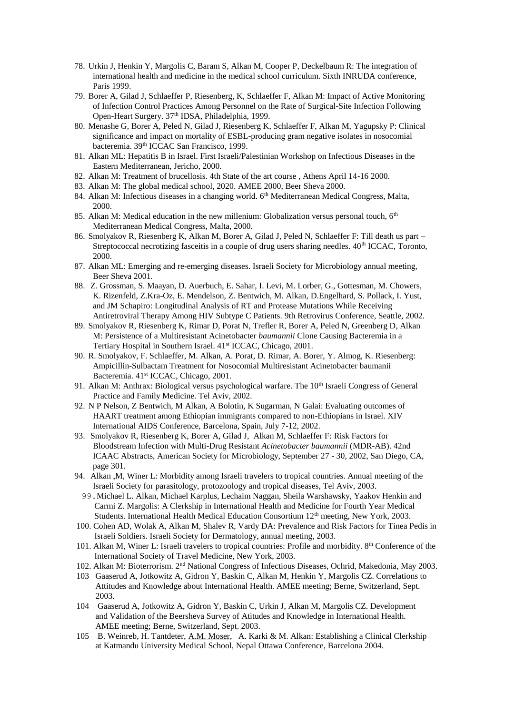- 78. Urkin J, Henkin Y, Margolis C, Baram S, Alkan M, Cooper P, Deckelbaum R: The integration of international health and medicine in the medical school curriculum. Sixth INRUDA conference, Paris 1999.
- 79. Borer A, Gilad J, Schlaeffer P, Riesenberg, K, Schlaeffer F, Alkan M: Impact of Active Monitoring of Infection Control Practices Among Personnel on the Rate of Surgical-Site Infection Following Open-Heart Surgery. 37<sup>th</sup> IDSA, Philadelphia, 1999.
- 80. Menashe G, Borer A, Peled N, Gilad J, Riesenberg K, Schlaeffer F, Alkan M, Yagupsky P: Clinical significance and impact on mortality of ESBL-producing gram negative isolates in nosocomial bacteremia. 39th ICCAC San Francisco, 1999.
- 81. Alkan ML: Hepatitis B in Israel. First Israeli/Palestinian Workshop on Infectious Diseases in the Eastern Mediterranean, Jericho, 2000.
- 82. Alkan M: Treatment of brucellosis. 4th State of the art course , Athens April 14-16 2000.
- 83. Alkan M: The global medical school, 2020. AMEE 2000, Beer Sheva 2000.
- 84. Alkan M: Infectious diseases in a changing world. 6<sup>th</sup> Mediterranean Medical Congress, Malta, 2000.
- 85. Alkan M: Medical education in the new millenium: Globalization versus personal touch, 6<sup>th</sup> Mediterranean Medical Congress, Malta, 2000.
- 86. Smolyakov R, Riesenberg K, Alkan M, Borer A, Gilad J, Peled N, Schlaeffer F: Till death us part Streptococcal necrotizing fasceitis in a couple of drug users sharing needles.  $40<sup>th</sup>$  ICCAC, Toronto, 2000.
- 87. Alkan ML: Emerging and re-emerging diseases. Israeli Society for Microbiology annual meeting, Beer Sheva 2001.
- 88. Z. Grossman, S. Maayan, D. Auerbuch, E. Sahar, I. Levi, M. Lorber, G., Gottesman, M. Chowers, K. Rizenfeld, Z.Kra-Oz, E. Mendelson, Z. Bentwich, M. Alkan, D.Engelhard, S. Pollack, I. Yust, and JM Schapiro: Longitudinal Analysis of RT and Protease Mutations While Receiving Antiretroviral Therapy Among HIV Subtype C Patients. 9th Retrovirus Conference, Seattle, 2002.
- 89. Smolyakov R, Riesenberg K, Rimar D, Porat N, Trefler R, Borer A, Peled N, Greenberg D, Alkan M: Persistence of a Multiresistant Acinetobacter *baumannii* Clone Causing Bacteremia in a Tertiary Hospital in Southern Israel. 41<sup>st</sup> ICCAC, Chicago, 2001.
- 90. R. Smolyakov, F. Schlaeffer, M. Alkan, A. Porat, D. Rimar, A. Borer, Y. Almog, K. Riesenberg: Ampicillin-Sulbactam Treatment for Nosocomial Multiresistant Acinetobacter baumanii Bacteremia. 41<sup>st</sup> ICCAC, Chicago, 2001.
- 91. Alkan M: Anthrax: Biological versus psychological warfare. The 10<sup>th</sup> Israeli Congress of General Practice and Family Medicine. Tel Aviv, 2002.
- 92. N P Nelson, Z Bentwich, M Alkan, A Bolotin, K Sugarman, N Galai: Evaluating outcomes of HAART treatment among Ethiopian immigrants compared to non-Ethiopians in Israel. XIV International AIDS Conference, Barcelona, Spain, July 7-12, 2002.
- 93. Smolyakov R, Riesenberg K, Borer A, Gilad J, Alkan M, Schlaeffer F: Risk Factors for Bloodstream Infection with Multi-Drug Resistant *Acinetobacter baumannii* (MDR-AB). 42nd ICAAC Abstracts, American Society for Microbiology, September 27 - 30, 2002, San Diego, CA, page 301.
- 94. Alkan ,M, Winer L: Morbidity among Israeli travelers to tropical countries. Annual meeting of the Israeli Society for parasitology, protozoology and tropical diseases, Tel Aviv, 2003.
- 99.Michael L. Alkan, Michael Karplus, Lechaim Naggan, Sheila Warshawsky, Yaakov Henkin and Carmi Z. Margolis: A Clerkship in International Health and Medicine for Fourth Year Medical Students. International Health Medical Education Consortium 12<sup>th</sup> meeting, New York, 2003.
- 100. Cohen AD, Wolak A, Alkan M, Shalev R, Vardy DA: Prevalence and Risk Factors for Tinea Pedis in Israeli Soldiers. Israeli Society for Dermatology, annual meeting, 2003.
- 101. Alkan M, Winer L: Israeli travelers to tropical countries: Profile and morbidity. 8th Conference of the International Society of Travel Medicine, New York, 2003.
- 102. Alkan M: Bioterrorism. 2nd National Congress of Infectious Diseases, Ochrid, Makedonia, May 2003.
- 103 Gaaserud A, Jotkowitz A, Gidron Y, Baskin C, Alkan M, Henkin Y, Margolis CZ. Correlations to Attitudes and Knowledge about International Health. AMEE meeting; Berne, Switzerland, Sept. 2003.
- 104 Gaaserud A, Jotkowitz A, Gidron Y, Baskin C, Urkin J, Alkan M, Margolis CZ. Development and Validation of the Beersheva Survey of Atitudes and Knowledge in International Health. AMEE meeting; Berne, Switzerland, Sept. 2003.
- 105 B. Weinreb, H. Tantdeter, A.M. Moser, A. Karki & M. Alkan: Establishing a Clinical Clerkship at Katmandu University Medical School, Nepal Ottawa Conference, Barcelona 2004.